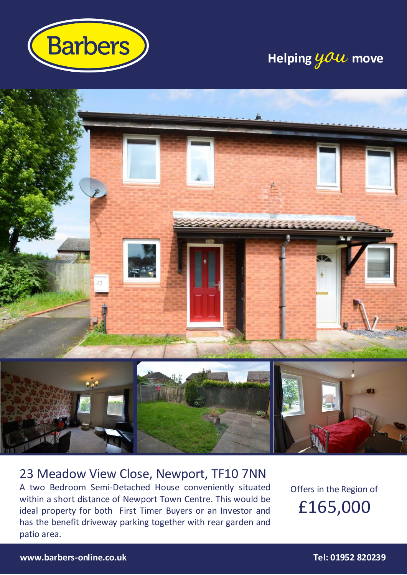

# **Helping**  $\boldsymbol{\mathcal{Y}}$  move



### 23 Meadow View Close, Newport, TF10 7NN A two Bedroom Semi-Detached House conveniently situated within a short distance of Newport Town Centre. This would be ideal property for both First Timer Buyers or an Investor and has the benefit driveway parking together with rear garden and

Offers in the Region of £165,000

patio area.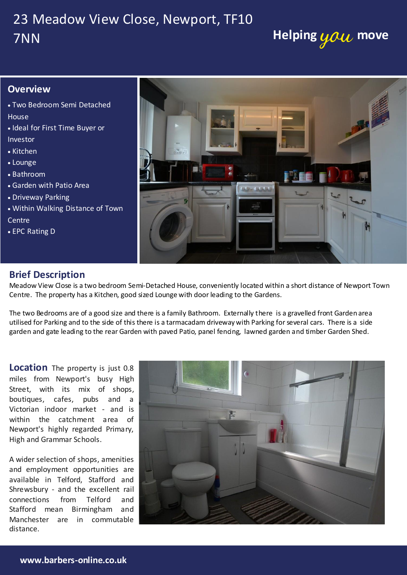# 23 Meadow View Close, Newport, TF10 **7NN** 7NN

### **Overview**

- Two Bedroom Semi Detached **House**
- Ideal for First Time Buyer or Investor
- Kitchen
- Lounge
- Bathroom
- Garden with Patio Area
- Driveway Parking
- Within Walking Distance of Town **Centre**
- EPC Rating D



### **Brief Description**

Meadow View Close is a two bedroom Semi-Detached House, conveniently located within a short distance of Newport Town Centre. The property has a Kitchen, good sized Lounge with door leading to the Gardens.

The two Bedrooms are of a good size and there is a family Bathroom. Externally there is a gravelled front Garden area utilised for Parking and to the side of this there is a tarmacadam driveway with Parking for several cars. There is a side garden and gate leading to the rear Garden with paved Patio, panel fencing, lawned garden and timber Garden Shed.

miles from Newport's busy High<br>C Newport's highly regarded Primary, High and Grammar Schools. Street, with its mix of shops, within the catchment area of

A wider selection of shops, amenities Manchester are in commutable and employment opportunities are connections from Telford and distance.

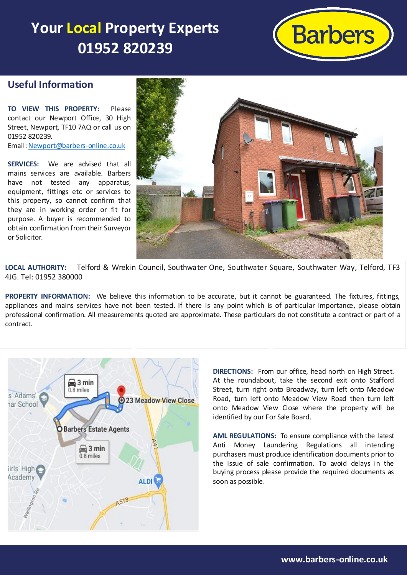# **Your Local Property Experts 01952 820239**



#### **Useful Information**

**TO VIEW THIS PROPERTY:** Please contact our Newport Office, 30 High Street, Newport, TF10 7AQ or call us on 01952 820239. Email[: Newport@barbers-online.co.uk](mailto:Newport@barbers-online.co.uk)

**SERVICES:** We are advised that all mains services are available. Barbers have not tested any apparatus, equipment, fittings etc or services to this property, so cannot confirm that they are in working order or fit for purpose. A buyer is recommended to obtain confirmation from their Surveyor or Solicitor.



**LOCAL AUTHORITY:** Telford & Wrekin 4JG. Tel: 01952 380000 **LOCAL AUTHORITY:** Telford & Wrekin Council, Southwater One, Southwater Square, Southwater Way, Telford, TF3

PROPERTY INFORMATION: We believe this information to be accurate, but it cannot be guaranteed. The fixtures, fittings, appliances and mains services have not been tested. If there is any point which is of particular importance, please obtain professional confirmation. All measurements quoted are approximate. These particulars do not constitute a contract or part of a contract.



**DIRECTIONS:** From our office, head north on High Street. At the roundabout, take the second exit onto Stafford Street, turn right onto Broadway, turn left onto Meadow Road, turn left onto Meadow View Road then turn left onto Meadow View Close where the property will be identified by our For Sale Board.

**AML REGULATIONS:** To ensure compliance with the latest Anti Money Laundering Regulations all intending purchasers must produce identification documents prior to the issue of sale confirmation. To avoid delays in the buying process please provide the required documents as soon as possible.